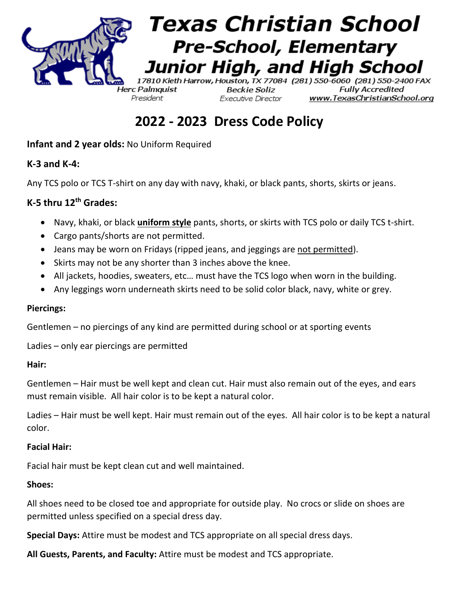

**2022 - 2023 Dress Code Policy**

**Infant and 2 year olds:** No Uniform Required

## **K-3 and K-4:**

Any TCS polo or TCS T-shirt on any day with navy, khaki, or black pants, shorts, skirts or jeans.

## **K-5 thru 12th Grades:**

- Navy, khaki, or black **uniform style** pants, shorts, or skirts with TCS polo or daily TCS t-shirt.
- Cargo pants/shorts are not permitted.
- Jeans may be worn on Fridays (ripped jeans, and jeggings are not permitted).
- Skirts may not be any shorter than 3 inches above the knee.
- All jackets, hoodies, sweaters, etc… must have the TCS logo when worn in the building.
- Any leggings worn underneath skirts need to be solid color black, navy, white or grey.

#### **Piercings:**

Gentlemen – no piercings of any kind are permitted during school or at sporting events

Ladies – only ear piercings are permitted

#### **Hair:**

Gentlemen – Hair must be well kept and clean cut. Hair must also remain out of the eyes, and ears must remain visible. All hair color is to be kept a natural color.

Ladies – Hair must be well kept. Hair must remain out of the eyes. All hair color is to be kept a natural color.

#### **Facial Hair:**

Facial hair must be kept clean cut and well maintained.

#### **Shoes:**

All shoes need to be closed toe and appropriate for outside play. No crocs or slide on shoes are permitted unless specified on a special dress day.

**Special Days:** Attire must be modest and TCS appropriate on all special dress days.

**All Guests, Parents, and Faculty:** Attire must be modest and TCS appropriate.